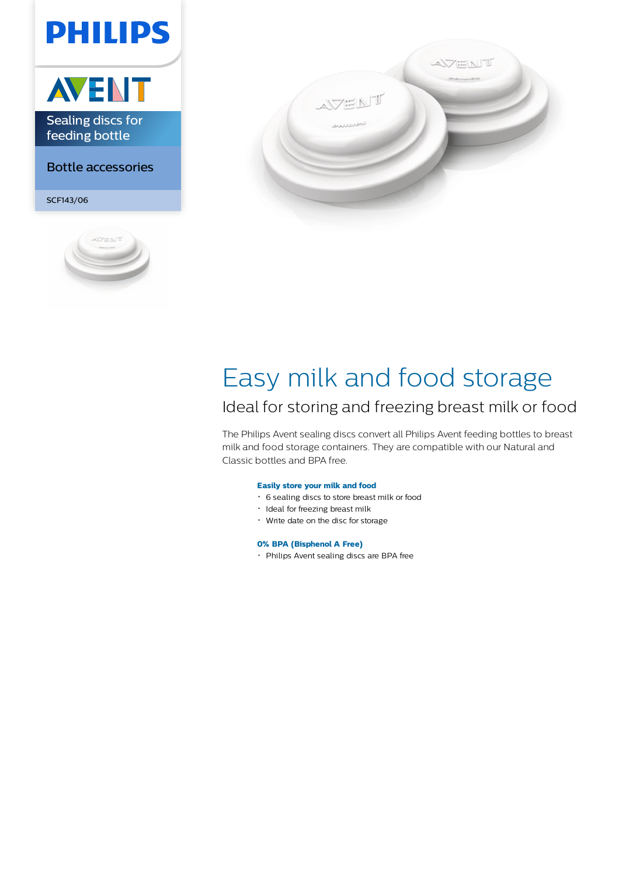# **PHILIPS**



### Bottle accessories

SCF143/06





## Easy milk and food storage

### Ideal for storing and freezing breast milk or food

The Philips Avent sealing discs convert all Philips Avent feeding bottles to breast milk and food storage containers. They are compatible with our Natural and Classic bottles and BPA free.

#### **Easily store your milk and food**

- 6 sealing discs to store breast milk or food
- · Ideal for freezing breast milk
- Write date on the disc for storage

#### **0% BPA (Bisphenol A Free)**

Philips Avent sealing discs are BPA free